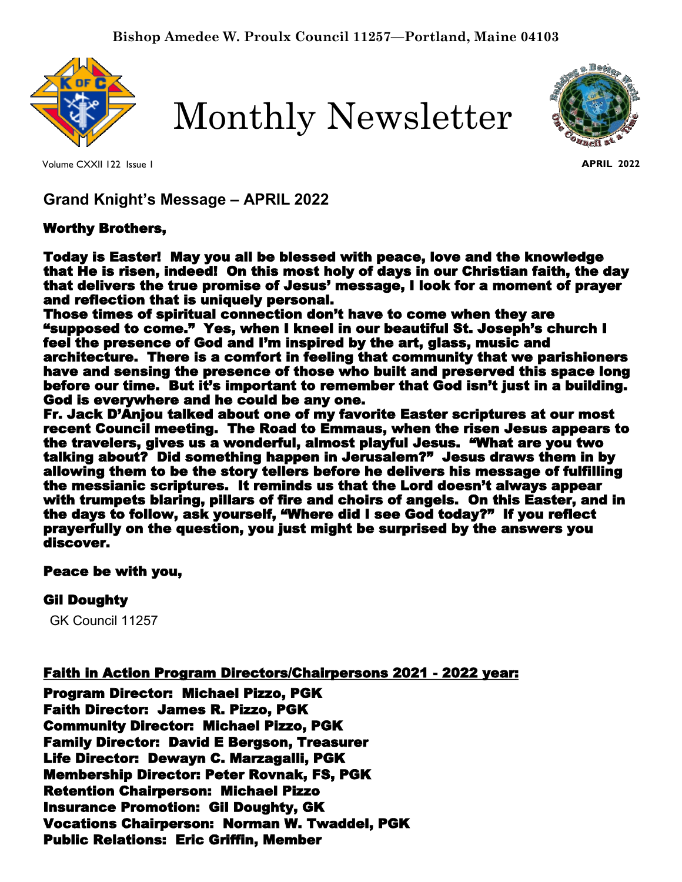

Monthly Newsletter



Volume CXXII 122 Issue 1

**APRIL 2022**

**Grand Knight's Message – APRIL 2022**

## Worthy Brothers,

Today is Easter! May you all be blessed with peace, love and the knowledge that He is risen, indeed! On this most holy of days in our Christian faith, the day that delivers the true promise of Jesus' message, I look for a moment of prayer and reflection that is uniquely personal.

Those times of spiritual connection don't have to come when they are "supposed to come." Yes, when I kneel in our beautiful St. Joseph's church I feel the presence of God and I'm inspired by the art, glass, music and architecture. There is a comfort in feeling that community that we parishioners have and sensing the presence of those who built and preserved this space long before our time. But it's important to remember that God isn't just in a building. God is everywhere and he could be any one.

Fr. Jack D'Anjou talked about one of my favorite Easter scriptures at our most recent Council meeting. The Road to Emmaus, when the risen Jesus appears to the travelers, gives us a wonderful, almost playful Jesus. "What are you two talking about? Did something happen in Jerusalem?" Jesus draws them in by allowing them to be the story tellers before he delivers his message of fulfilling the messianic scriptures. It reminds us that the Lord doesn't always appear with trumpets blaring, pillars of fire and choirs of angels. On this Easter, and in the days to follow, ask yourself, "Where did I see God today?" If you reflect prayerfully on the question, you just might be surprised by the answers you discover.

#### Peace be with you,

# Gil Doughty

GK Council 11257

Faith in Action Program Directors/Chairpersons 2021 - 2022 year:

Program Director: Michael Pizzo, PGK Faith Director: James R. Pizzo, PGK Community Director: Michael Pizzo, PGK Family Director: David E Bergson, Treasurer Life Director: Dewayn C. Marzagalli, PGK Membership Director: Peter Rovnak, FS, PGK Retention Chairperson: Michael Pizzo Insurance Promotion: Gil Doughty, GK Vocations Chairperson: Norman W. Twaddel, PGK Public Relations: Eric Griffin, Member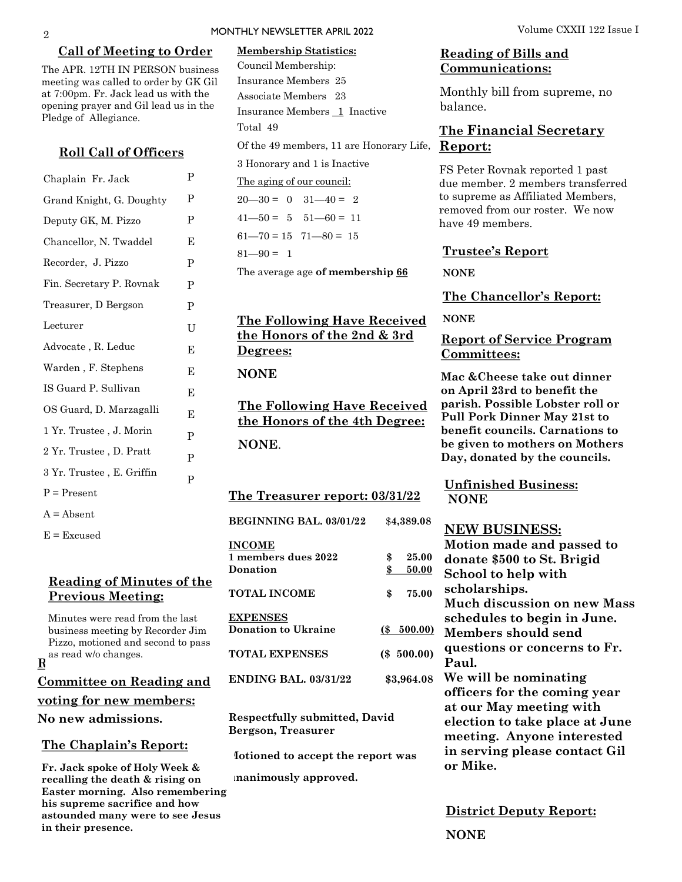#### **Call of Meeting to Order**

The APR. 12TH IN PERSON business meeting was called to order by GK Gil at 7:00pm. Fr. Jack lead us with the opening prayer and Gil lead us in the Pledge of Allegiance.

#### **Roll Call of Officers**

| Chaplain Fr. Jack         | P |
|---------------------------|---|
| Grand Knight, G. Doughty  | P |
| Deputy GK, M. Pizzo       | P |
| Chancellor, N. Twaddel    | E |
| Recorder, J. Pizzo        | P |
| Fin. Secretary P. Rovnak  | P |
| Treasurer, D Bergson      | P |
| Lecturer                  | U |
| Advocate, R. Leduc        | E |
| Warden, F. Stephens       | Е |
| IS Guard P. Sullivan      | Е |
| OS Guard, D. Marzagalli   | E |
| 1 Yr. Trustee , J. Morin  | P |
| 2 Yr. Trustee , D. Pratt  | P |
| 3 Yr. Trustee, E. Griffin | P |
| $P = Present$             |   |
| $A = Absent$              |   |

 $E = Excused$ 

## **Reading of Minutes of the Previous Meeting:**

 $\mathbf{R}^{\mathrm{as~read~w/o~changes.}}$ **Committee on Reading and voting for new members: No new admissions.**  Minutes were read from the last business meeting by Recorder Jim Pizzo, motioned and second to pass

#### **The Chaplain's Report:**

**Fr. Jack spoke of Holy Week & recalling the death & rising on Easter morning. Also remembering his supreme sacrifice and how astounded many were to see Jesus in their presence.** 

#### MONTHLY NEWSLETTER APRIL 2022 **Volume CXXII 122** Issue I

# Of the 49 members, 11 are Honorary Life, Report: **Membership Statistics:**  Council Membership: Insurance Members 25 Associate Members 23 Insurance Members 1 Inactive Total 49

3 Honorary and 1 is Inactive

The aging of our council:

 $20 - 30 = 0$   $31 - 40 = 2$  $41 - 50 = 5$   $51 - 60 = 11$  $61 - 70 = 15$   $71 - 80 = 15$ 

 $81 - 90 = 1$ 

The average age **of membership 66**

## **The Following Have Received the Honors of the 2nd & 3rd Degrees:**

**NONE** 

**The Following Have Received the Honors of the 4th Degree: NONE**.

**The Treasurer report: 03/31/22**

**BEGINNING BAL. 03/01/22** \$**4,389.08 INCOME**

| 1 members dues 2022<br>Donation        | 25.00<br>\$<br>50.00 |
|----------------------------------------|----------------------|
| <b>TOTAL INCOME</b>                    | \$<br>75.00          |
| <b>EXPENSES</b><br>Donation to Ukraine | (S 500.00)           |
| <b>TOTAL EXPENSES</b>                  | $(\$ 500.00)$        |
| <b>ENDING BAL. 03/31/22</b>            | \$3,964.08           |

**Respectfully submitted, David Bergson, Treasurer**

**Motioned to accept the report was** 

**unanimously approved.**

#### **Reading of Bills and Communications:**

Monthly bill from supreme, no balance.

# **The Financial Secretary**

FS Peter Rovnak reported 1 past due member. 2 members transferred to supreme as Affiliated Members, removed from our roster. We now have 49 members.

#### **Trustee's Report**

**NONE**

**The Chancellor's Report:** 

**NONE**

#### **Report of Service Program Committees:**

**Mac &Cheese take out dinner on April 23rd to benefit the parish. Possible Lobster roll or Pull Pork Dinner May 21st to benefit councils. Carnations to be given to mothers on Mothers Day, donated by the councils.** 

**Unfinished Business: NONE**

#### **NEW BUSINESS:**

**Motion made and passed to donate \$500 to St. Brigid School to help with scholarships. Much discussion on new Mass schedules to begin in June. Members should send questions or concerns to Fr. Paul. We will be nominating officers for the coming year at our May meeting with election to take place at June meeting. Anyone interested in serving please contact Gil or Mike.** 

**District Deputy Report: NONE**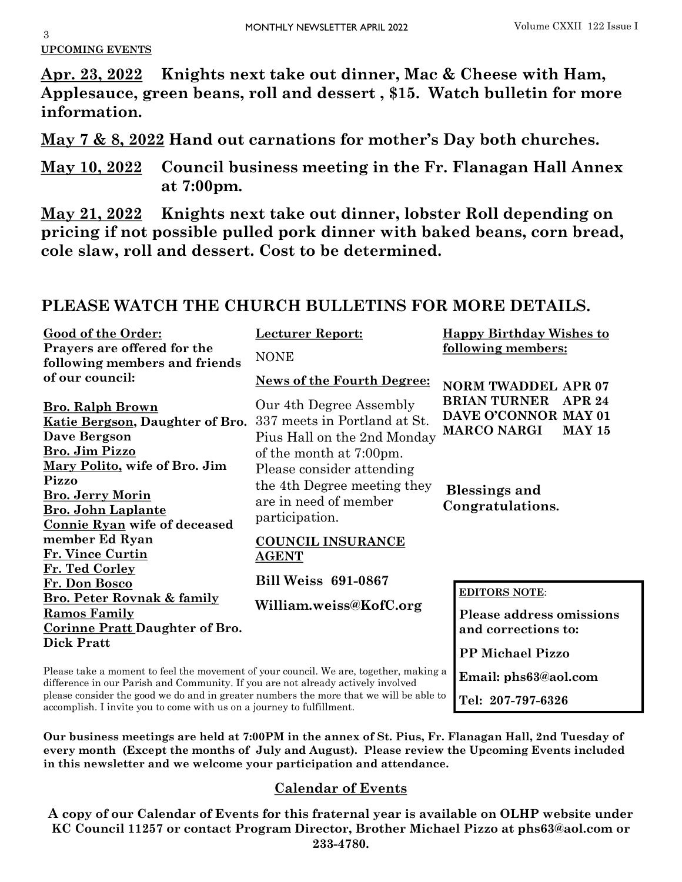# **UPCOMING EVENTS**

**Apr. 23, 2022 Knights next take out dinner, Mac & Cheese with Ham, Applesauce, green beans, roll and dessert , \$15. Watch bulletin for more information.**

**May 7 & 8, 2022 Hand out carnations for mother's Day both churches.**

**May 10, 2022 Council business meeting in the Fr. Flanagan Hall Annex at 7:00pm.**

**May 21, 2022 Knights next take out dinner, lobster Roll depending on pricing if not possible pulled pork dinner with baked beans, corn bread, cole slaw, roll and dessert. Cost to be determined.**

# **PLEASE WATCH THE CHURCH BULLETINS FOR MORE DETAILS.**

| <b>Good of the Order:</b>                                                                                                                                                 | <u>Lecturer Report:</u>                                                | <b>Happy Birthday Wishes to</b>                                                                     |  |
|---------------------------------------------------------------------------------------------------------------------------------------------------------------------------|------------------------------------------------------------------------|-----------------------------------------------------------------------------------------------------|--|
| Prayers are offered for the<br>following members and friends                                                                                                              | <b>NONE</b>                                                            | following members:                                                                                  |  |
| of our council:                                                                                                                                                           | <b>News of the Fourth Degree:</b>                                      | <b>NORM TWADDEL APR 07</b>                                                                          |  |
| <b>Bro. Ralph Brown</b><br>Katie Bergson, Daughter of Bro. 337 meets in Portland at St.<br><b>Dave Bergson</b>                                                            | Our 4th Degree Assembly<br>Pius Hall on the 2nd Monday                 | <b>BRIAN TURNER</b><br><b>APR 24</b><br>DAVE O'CONNOR MAY 01<br><b>MARCO NARGI</b><br><b>MAY 15</b> |  |
| <b>Bro. Jim Pizzo</b>                                                                                                                                                     | of the month at 7:00pm.                                                |                                                                                                     |  |
| Mary Polito, wife of Bro. Jim<br>Pizzo                                                                                                                                    | Please consider attending                                              |                                                                                                     |  |
| <b>Bro. Jerry Morin</b>                                                                                                                                                   | the 4th Degree meeting they<br>are in need of member<br>participation. | <b>Blessings and</b>                                                                                |  |
| <b>Bro. John Laplante</b><br>Connie Ryan wife of deceased                                                                                                                 |                                                                        | Congratulations.                                                                                    |  |
| member Ed Ryan                                                                                                                                                            | <b>COUNCIL INSURANCE</b>                                               |                                                                                                     |  |
| Fr. Vince Curtin                                                                                                                                                          | <b>AGENT</b>                                                           |                                                                                                     |  |
| Fr. Ted Corley<br>Fr. Don Bosco                                                                                                                                           | <b>Bill Weiss 691-0867</b>                                             |                                                                                                     |  |
| <b>Bro. Peter Rovnak &amp; family</b>                                                                                                                                     | William.weiss@KofC.org                                                 | <b>EDITORS NOTE:</b>                                                                                |  |
| <b>Ramos Family</b>                                                                                                                                                       |                                                                        | <b>Please address omissions</b>                                                                     |  |
| <b>Corinne Pratt Daughter of Bro.</b>                                                                                                                                     |                                                                        | and corrections to:                                                                                 |  |
| <b>Dick Pratt</b>                                                                                                                                                         |                                                                        | <b>PP Michael Pizzo</b>                                                                             |  |
| Please take a moment to feel the movement of your council. We are, together, making a<br>difference in our Parish and Community. If you are not already actively involved |                                                                        | Email: phs63@aol.com                                                                                |  |

please consider the good we do and in greater numbers the more that we will be able to accomplish. I invite you to come with us on a journey to fulfillment.

**Our business meetings are held at 7:00PM in the annex of St. Pius, Fr. Flanagan Hall, 2nd Tuesday of every month (Except the months of July and August). Please review the Upcoming Events included in this newsletter and we welcome your participation and attendance.** 

**Tel: 207-797-6326**

# **Calendar of Events**

**A copy of our Calendar of Events for this fraternal year is available on OLHP website under KC Council 11257 or contact Program Director, Brother Michael Pizzo at phs63@aol.com or 233-4780.**

3